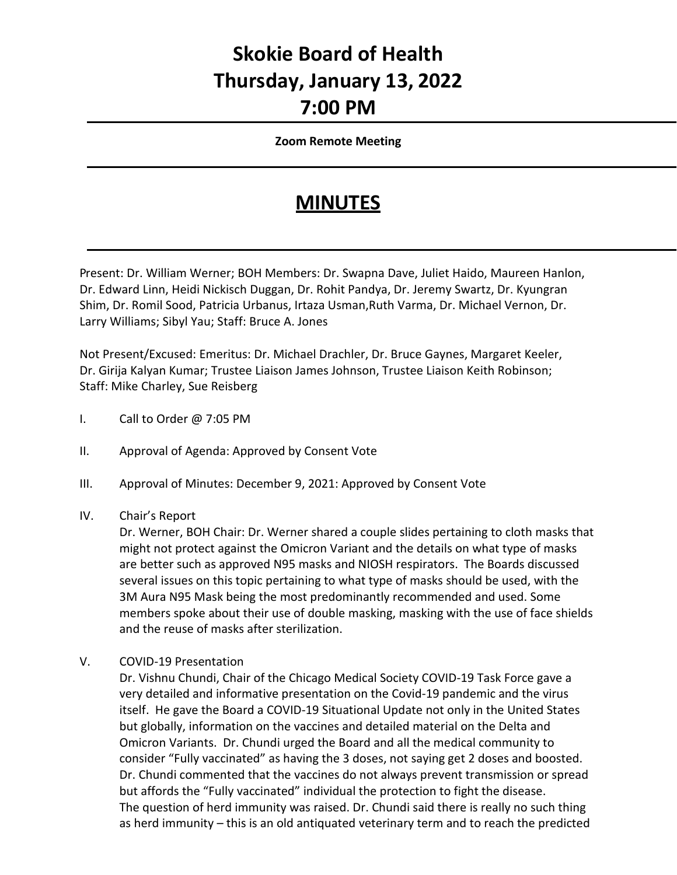## **Skokie Board of Health Thursday, January 13, 2022 7:00 PM**

## **Zoom Remote Meeting**

## **MINUTES**

Present: Dr. William Werner; BOH Members: Dr. Swapna Dave, Juliet Haido, Maureen Hanlon, Dr. Edward Linn, Heidi Nickisch Duggan, Dr. Rohit Pandya, Dr. Jeremy Swartz, Dr. Kyungran Shim, Dr. Romil Sood, Patricia Urbanus, Irtaza Usman,Ruth Varma, Dr. Michael Vernon, Dr. Larry Williams; Sibyl Yau; Staff: Bruce A. Jones

Not Present/Excused: Emeritus: Dr. Michael Drachler, Dr. Bruce Gaynes, Margaret Keeler, Dr. Girija Kalyan Kumar; Trustee Liaison James Johnson, Trustee Liaison Keith Robinson; Staff: Mike Charley, Sue Reisberg

- I. Call to Order @ 7:05 PM
- II. Approval of Agenda: Approved by Consent Vote
- III. Approval of Minutes: December 9, 2021: Approved by Consent Vote
- IV. Chair's Report

Dr. Werner, BOH Chair: Dr. Werner shared a couple slides pertaining to cloth masks that might not protect against the Omicron Variant and the details on what type of masks are better such as approved N95 masks and NIOSH respirators. The Boards discussed several issues on this topic pertaining to what type of masks should be used, with the 3M Aura N95 Mask being the most predominantly recommended and used. Some members spoke about their use of double masking, masking with the use of face shields and the reuse of masks after sterilization.

V. COVID-19 Presentation

Dr. Vishnu Chundi, Chair of the Chicago Medical Society COVID-19 Task Force gave a very detailed and informative presentation on the Covid-19 pandemic and the virus itself. He gave the Board a COVID-19 Situational Update not only in the United States but globally, information on the vaccines and detailed material on the Delta and Omicron Variants. Dr. Chundi urged the Board and all the medical community to consider "Fully vaccinated" as having the 3 doses, not saying get 2 doses and boosted. Dr. Chundi commented that the vaccines do not always prevent transmission or spread but affords the "Fully vaccinated" individual the protection to fight the disease. The question of herd immunity was raised. Dr. Chundi said there is really no such thing as herd immunity – this is an old antiquated veterinary term and to reach the predicted